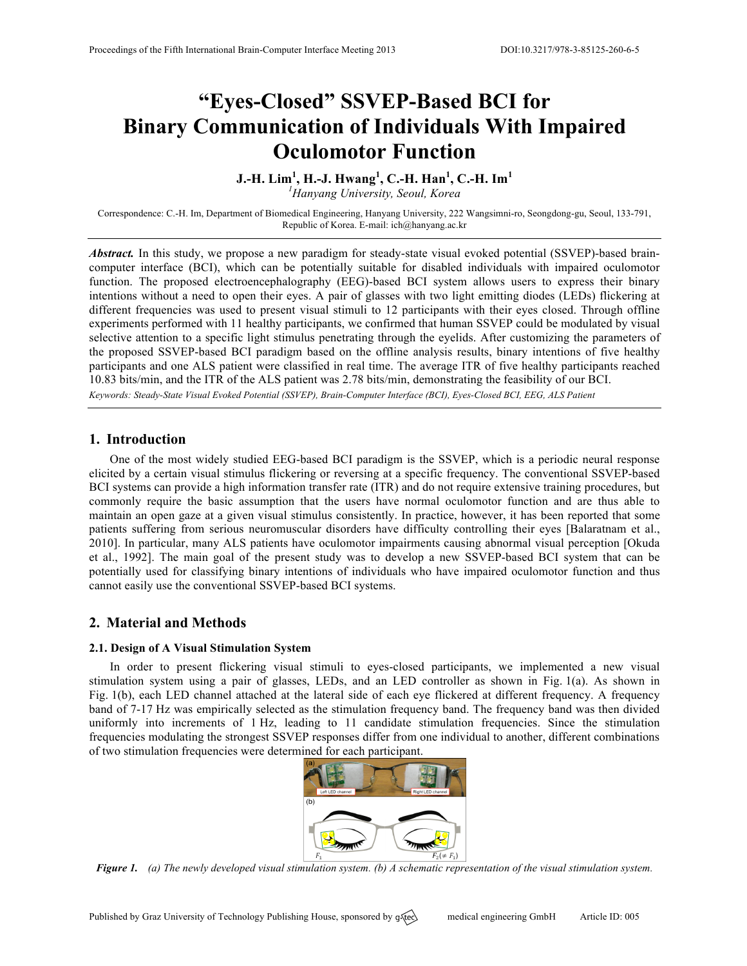# **"Eyes-Closed" SSVEP-Based BCI for Binary Communication of Individuals With Impaired Oculomotor Function**

# **J.-H. Lim<sup>1</sup> , H.-J. Hwang<sup>1</sup> , C.-H. Han<sup>1</sup> , C.-H. Im<sup>1</sup>**

*1 Hanyang University, Seoul, Korea*

Correspondence: C.-H. Im, Department of Biomedical Engineering, Hanyang University, 222 Wangsimni-ro, Seongdong-gu, Seoul, 133-791, Republic of Korea. E-mail: ich@hanyang.ac.kr

*Abstract.* In this study, we propose a new paradigm for steady-state visual evoked potential (SSVEP)-based braincomputer interface (BCI), which can be potentially suitable for disabled individuals with impaired oculomotor function. The proposed electroencephalography (EEG)-based BCI system allows users to express their binary intentions without a need to open their eyes. A pair of glasses with two light emitting diodes (LEDs) flickering at different frequencies was used to present visual stimuli to 12 participants with their eyes closed. Through offline experiments performed with 11 healthy participants, we confirmed that human SSVEP could be modulated by visual selective attention to a specific light stimulus penetrating through the eyelids. After customizing the parameters of the proposed SSVEP-based BCI paradigm based on the offline analysis results, binary intentions of five healthy participants and one ALS patient were classified in real time. The average ITR of five healthy participants reached 10.83 bits/min, and the ITR of the ALS patient was 2.78 bits/min, demonstrating the feasibility of our BCI. *Keywords: Steady-State Visual Evoked Potential (SSVEP), Brain-Computer Interface (BCI), Eyes-Closed BCI, EEG, ALS Patient*

## **1. Introduction**

One of the most widely studied EEG-based BCI paradigm is the SSVEP, which is a periodic neural response elicited by a certain visual stimulus flickering or reversing at a specific frequency. The conventional SSVEP-based BCI systems can provide a high information transfer rate (ITR) and do not require extensive training procedures, but commonly require the basic assumption that the users have normal oculomotor function and are thus able to maintain an open gaze at a given visual stimulus consistently. In practice, however, it has been reported that some patients suffering from serious neuromuscular disorders have difficulty controlling their eyes [Balaratnam et al., 2010]. In particular, many ALS patients have oculomotor impairments causing abnormal visual perception [Okuda et al., 1992]. The main goal of the present study was to develop a new SSVEP-based BCI system that can be potentially used for classifying binary intentions of individuals who have impaired oculomotor function and thus cannot easily use the conventional SSVEP-based BCI systems.

## **2. Material and Methods**

## **2.1. Design of A Visual Stimulation System**

In order to present flickering visual stimuli to eyes-closed participants, we implemented a new visual stimulation system using a pair of glasses, LEDs, and an LED controller as shown in Fig. 1(a). As shown in Fig. 1(b), each LED channel attached at the lateral side of each eye flickered at different frequency. A frequency band of 7-17 Hz was empirically selected as the stimulation frequency band. The frequency band was then divided uniformly into increments of 1 Hz, leading to 11 candidate stimulation frequencies. Since the stimulation frequencies modulating the strongest SSVEP responses differ from one individual to another, different combinations of two stimulation frequencies were determined for each participant.



*Figure 1. (a) The newly developed visual stimulation system. (b) A schematic representation of the visual stimulation system.*